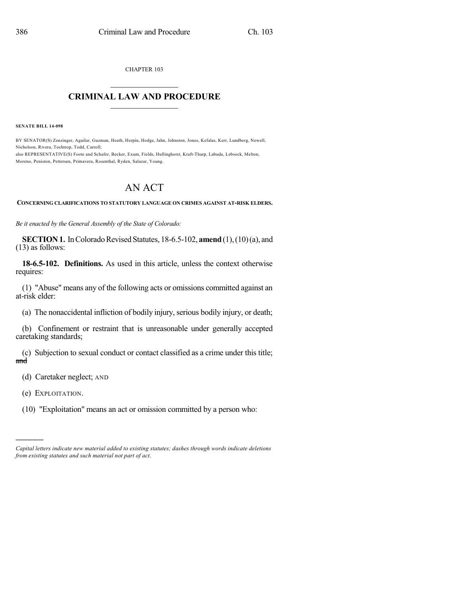CHAPTER 103

## $\overline{\phantom{a}}$  . The set of the set of the set of the set of the set of the set of the set of the set of the set of the set of the set of the set of the set of the set of the set of the set of the set of the set of the set o **CRIMINAL LAW AND PROCEDURE**  $\frac{1}{2}$  ,  $\frac{1}{2}$  ,  $\frac{1}{2}$  ,  $\frac{1}{2}$  ,  $\frac{1}{2}$  ,  $\frac{1}{2}$  ,  $\frac{1}{2}$

**SENATE BILL 14-098**

BY SENATOR(S) Zenzinger, Aguilar, Guzman, Heath, Herpin, Hodge, Jahn, Johnston, Jones, Kefalas, Kerr, Lundberg, Newell, Nicholson, Rivera, Tochtrop, Todd, Carroll; also REPRESENTATIVE(S) Foote and Schafer, Becker, Exum, Fields, Hullinghorst, Kraft-Tharp, Labuda, Lebsock, Melton,

Moreno, Peniston, Pettersen, Primavera, Rosenthal, Ryden, Salazar, Young.

## AN ACT

**CONCERNING CLARIFICATIONS TO STATUTORY LANGUAGE ON CRIMES AGAINST AT-RISK ELDERS.**

*Be it enacted by the General Assembly of the State of Colorado:*

**SECTION 1.** In Colorado Revised Statutes, 18-6.5-102, **amend** (1), (10)(a), and (13) as follows:

**18-6.5-102. Definitions.** As used in this article, unless the context otherwise requires:

(1) "Abuse" means any of the following acts or omissions committed against an at-risk elder:

(a) The nonaccidental infliction of bodily injury, serious bodily injury, or death;

(b) Confinement or restraint that is unreasonable under generally accepted caretaking standards;

(c) Subjection to sexual conduct or contact classified as a crime under this title; and

(d) Caretaker neglect; AND

(e) EXPLOITATION.

)))))

(10) "Exploitation" means an act or omission committed by a person who:

*Capital letters indicate new material added to existing statutes; dashes through words indicate deletions from existing statutes and such material not part of act.*